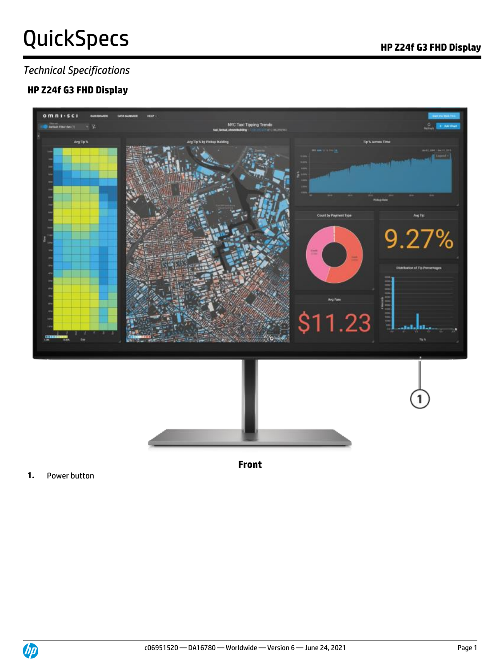### *Technical Specifications*

## **HP Z24f G3 FHD Display**



**Front**

**1.** Power button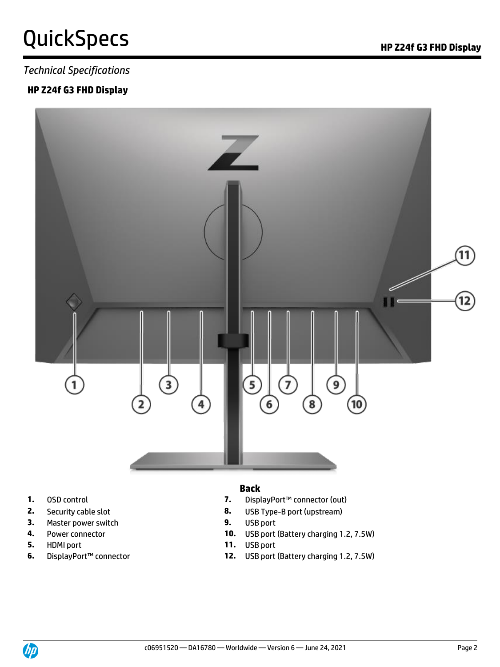### *Technical Specifications*

### **HP Z24f G3 FHD Display**



- 
- 
- **3.** Master power switch **9.** USB port
- 
- 
- 

### **Back**

- **1.** OSD control **7.** DisplayPort™ connector (out)
- **2.** Security cable slot **8.** USB Type-B port (upstream)
	-
- **4.** Power connector **10.** USB port (Battery charging 1.2, 7.5W)
- **5.** HDMI port **11.** USB port
- **6.** DisplayPort™ connector **12.** USB port (Battery charging 1.2, 7.5W)

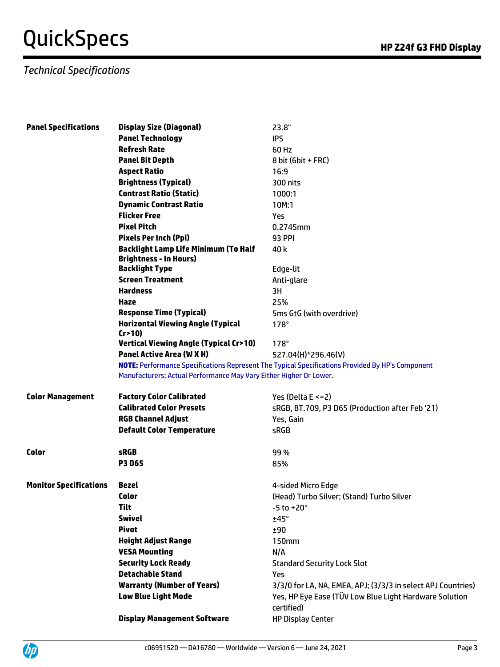# QuickSpecs **Manufactures** *HP* Z24f G3 FHD Display

## *Technical Specifications*

| <b>Panel Specifications</b>   | <b>Display Size (Diagonal)</b>                                               | 23.8"                                                                                            |
|-------------------------------|------------------------------------------------------------------------------|--------------------------------------------------------------------------------------------------|
|                               | <b>Panel Technology</b>                                                      | <b>IPS</b>                                                                                       |
|                               | <b>Refresh Rate</b>                                                          | 60 Hz                                                                                            |
|                               | <b>Panel Bit Depth</b>                                                       | 8 bit (6bit + FRC)                                                                               |
|                               | <b>Aspect Ratio</b>                                                          | 16:9                                                                                             |
|                               | <b>Brightness (Typical)</b>                                                  | 300 nits                                                                                         |
|                               | <b>Contrast Ratio (Static)</b>                                               | 1000:1                                                                                           |
|                               | <b>Dynamic Contrast Ratio</b>                                                | 10M:1                                                                                            |
|                               | <b>Flicker Free</b>                                                          | <b>Yes</b>                                                                                       |
|                               | <b>Pixel Pitch</b>                                                           | 0.2745mm                                                                                         |
|                               | <b>Pixels Per Inch (Ppi)</b>                                                 | <b>93 PPI</b>                                                                                    |
|                               | <b>Backlight Lamp Life Minimum (To Half</b><br><b>Brightness - In Hours)</b> | 40 k                                                                                             |
|                               | <b>Backlight Type</b>                                                        | Edge-lit                                                                                         |
|                               | <b>Screen Treatment</b>                                                      | Anti-glare                                                                                       |
|                               | <b>Hardness</b>                                                              | 3H                                                                                               |
|                               | Haze                                                                         | 25%                                                                                              |
|                               | <b>Response Time (Typical)</b>                                               | 5ms GtG (with overdrive)                                                                         |
|                               | <b>Horizontal Viewing Angle (Typical</b><br>Cr > 10                          | $178^\circ$                                                                                      |
|                               | <b>Vertical Viewing Angle (Typical Cr&gt;10)</b>                             | $178^\circ$                                                                                      |
|                               | <b>Panel Active Area (W X H)</b>                                             | 527.04(H)*296.46(V)                                                                              |
|                               | Manufacturers; Actual Performance May Vary Either Higher Or Lower.           | NOTE: Performance Specifications Represent The Typical Specifications Provided By HP's Component |
| <b>Color Management</b>       | <b>Factory Color Calibrated</b>                                              | Yes (Delta $E \le 2$ )                                                                           |
|                               | <b>Calibrated Color Presets</b>                                              | sRGB, BT.709, P3 D65 (Production after Feb '21)                                                  |
|                               | <b>RGB Channel Adjust</b>                                                    | Yes, Gain                                                                                        |
|                               | <b>Default Color Temperature</b>                                             | <b>sRGB</b>                                                                                      |
| <b>Color</b>                  | <b>sRGB</b>                                                                  | 99%                                                                                              |
|                               | <b>P3 D65</b>                                                                | 85%                                                                                              |
|                               |                                                                              |                                                                                                  |
| <b>Monitor Specifications</b> | <b>Bezel</b>                                                                 | 4-sided Micro Edge                                                                               |
|                               | <b>Color</b>                                                                 | (Head) Turbo Silver; (Stand) Turbo Silver                                                        |
|                               | <b>Tilt</b>                                                                  | $-5$ to $+20^{\circ}$                                                                            |
|                               | <b>Swivel</b>                                                                | ±45°                                                                                             |
|                               | <b>Pivot</b>                                                                 | ±90                                                                                              |
|                               | <b>Height Adjust Range</b>                                                   | <b>150mm</b>                                                                                     |
|                               | <b>VESA Mounting</b>                                                         | N/A                                                                                              |
|                               | <b>Security Lock Ready</b>                                                   | <b>Standard Security Lock Slot</b>                                                               |
|                               | <b>Detachable Stand</b>                                                      | Yes                                                                                              |
|                               | <b>Warranty (Number of Years)</b>                                            | 3/3/0 for LA, NA, EMEA, APJ; (3/3/3 in select APJ Countries)                                     |
|                               | <b>Low Blue Light Mode</b>                                                   | Yes, HP Eye Ease (TÜV Low Blue Light Hardware Solution<br>certified)                             |
|                               | <b>Display Management Software</b>                                           | <b>HP Display Center</b>                                                                         |

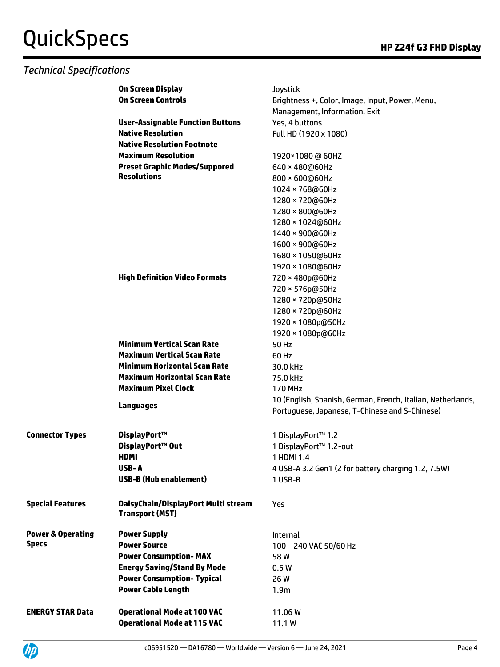### *Technical Specifications*

|                              | <b>On Screen Display</b>                                      | Joystick                                                    |
|------------------------------|---------------------------------------------------------------|-------------------------------------------------------------|
|                              | <b>On Screen Controls</b>                                     | Brightness +, Color, Image, Input, Power, Menu,             |
|                              |                                                               | Management, Information, Exit                               |
|                              | <b>User-Assignable Function Buttons</b>                       | Yes, 4 buttons                                              |
|                              | <b>Native Resolution</b>                                      | Full HD (1920 x 1080)                                       |
|                              | <b>Native Resolution Footnote</b>                             |                                                             |
|                              | <b>Maximum Resolution</b>                                     | 1920×1080@60HZ                                              |
|                              | <b>Preset Graphic Modes/Suppored</b>                          | 640 × 480@60Hz                                              |
|                              | <b>Resolutions</b>                                            | 800 × 600@60Hz                                              |
|                              |                                                               | 1024 × 768@60Hz                                             |
|                              |                                                               | 1280 × 720@60Hz                                             |
|                              |                                                               | 1280 × 800@60Hz                                             |
|                              |                                                               | 1280 × 1024@60Hz                                            |
|                              |                                                               | 1440 × 900@60Hz                                             |
|                              |                                                               | 1600 × 900@60Hz                                             |
|                              |                                                               | 1680 × 1050@60Hz                                            |
|                              |                                                               | 1920 × 1080@60Hz                                            |
|                              | <b>High Definition Video Formats</b>                          | 720 × 480p@60Hz                                             |
|                              |                                                               | 720 × 576p@50Hz                                             |
|                              |                                                               | 1280 × 720p@50Hz                                            |
|                              |                                                               | 1280 × 720p@60Hz                                            |
|                              |                                                               | 1920 × 1080p@50Hz                                           |
|                              |                                                               | 1920 × 1080p@60Hz                                           |
|                              | <b>Minimum Vertical Scan Rate</b>                             | 50 Hz                                                       |
|                              | <b>Maximum Vertical Scan Rate</b>                             | 60 Hz                                                       |
|                              | <b>Minimum Horizontal Scan Rate</b>                           | 30.0 kHz                                                    |
|                              | <b>Maximum Horizontal Scan Rate</b>                           | 75.0 kHz                                                    |
|                              | <b>Maximum Pixel Clock</b>                                    | <b>170 MHz</b>                                              |
|                              | <b>Languages</b>                                              | 10 (English, Spanish, German, French, Italian, Netherlands, |
|                              |                                                               | Portuguese, Japanese, T-Chinese and S-Chinese)              |
| <b>Connector Types</b>       | DisplayPort™                                                  |                                                             |
|                              | DisplayPort™ Out                                              | 1 DisplayPort™ 1.2<br>1 DisplayPort™ 1.2-out                |
|                              | <b>HDMI</b>                                                   | 1 HDMI 1.4                                                  |
|                              | USB-A                                                         | 4 USB-A 3.2 Gen1 (2 for battery charging 1.2, 7.5W)         |
|                              | <b>USB-B (Hub enablement)</b>                                 | 1 USB-B                                                     |
|                              |                                                               |                                                             |
| <b>Special Features</b>      | DaisyChain/DisplayPort Multi stream<br><b>Transport (MST)</b> | Yes                                                         |
| <b>Power &amp; Operating</b> | <b>Power Supply</b>                                           | Internal                                                    |
| <b>Specs</b>                 | <b>Power Source</b>                                           | 100 - 240 VAC 50/60 Hz                                      |
|                              | <b>Power Consumption-MAX</b>                                  | 58W                                                         |
|                              | <b>Energy Saving/Stand By Mode</b>                            | 0.5W                                                        |
|                              | <b>Power Consumption- Typical</b>                             | 26 W                                                        |
|                              | <b>Power Cable Length</b>                                     | 1.9 <sub>m</sub>                                            |
|                              |                                                               |                                                             |
| <b>ENERGY STAR Data</b>      | <b>Operational Mode at 100 VAC</b>                            | 11.06W                                                      |
|                              | <b>Operational Mode at 115 VAC</b>                            | 11.1W                                                       |

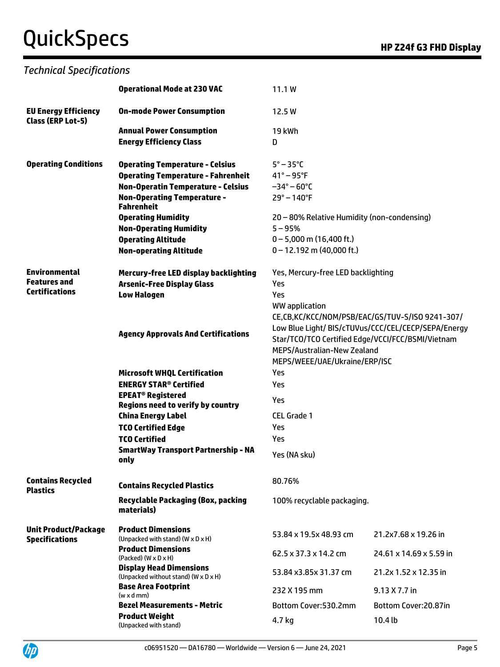# QuickSpecs **Manufactures** *HP* Z24f G3 FHD Display

## *Technical Specifications*

|                                                  | <b>Operational Mode at 230 VAC</b>                                     | 11.1 W                                            |                                                     |  |
|--------------------------------------------------|------------------------------------------------------------------------|---------------------------------------------------|-----------------------------------------------------|--|
| <b>EU Energy Efficiency</b><br>Class (ERP Lot-5) | <b>On-mode Power Consumption</b>                                       | 12.5 W                                            |                                                     |  |
|                                                  | <b>Annual Power Consumption</b>                                        | 19 kWh                                            |                                                     |  |
|                                                  | <b>Energy Efficiency Class</b>                                         | D                                                 |                                                     |  |
| <b>Operating Conditions</b>                      | <b>Operating Temperature - Celsius</b>                                 | $5^\circ - 35^\circ C$                            |                                                     |  |
|                                                  | <b>Operating Temperature - Fahrenheit</b>                              | $41^{\circ} - 95^{\circ}$ F                       |                                                     |  |
|                                                  | <b>Non-Operatin Temperature - Celsius</b>                              | $-34^{\circ} - 60^{\circ}$ C                      |                                                     |  |
|                                                  | <b>Non-Operating Temperature -</b><br><b>Fahrenheit</b>                | $29^{\circ} - 140^{\circ}F$                       |                                                     |  |
|                                                  | <b>Operating Humidity</b>                                              | 20 - 80% Relative Humidity (non-condensing)       |                                                     |  |
|                                                  | <b>Non-Operating Humidity</b>                                          | $5 - 95%$                                         |                                                     |  |
|                                                  | <b>Operating Altitude</b>                                              | $0 - 5,000$ m (16,400 ft.)                        |                                                     |  |
|                                                  | <b>Non-operating Altitude</b>                                          | $0 - 12.192$ m (40,000 ft.)                       |                                                     |  |
| <b>Environmental</b>                             | Mercury-free LED display backlighting                                  | Yes, Mercury-free LED backlighting                |                                                     |  |
| <b>Features</b> and<br><b>Certifications</b>     | <b>Arsenic-Free Display Glass</b>                                      | Yes                                               |                                                     |  |
|                                                  | <b>Low Halogen</b>                                                     | Yes                                               |                                                     |  |
|                                                  |                                                                        | WW application                                    |                                                     |  |
|                                                  |                                                                        |                                                   | CE,CB,KC/KCC/NOM/PSB/EAC/GS/TUV-S/ISO 9241-307/     |  |
|                                                  | <b>Agency Approvals And Certifications</b>                             |                                                   | Low Blue Light/ BIS/cTUVus/CCC/CEL/CECP/SEPA/Energy |  |
|                                                  |                                                                        | Star/TCO/TCO Certified Edge/VCCI/FCC/BSMI/Vietnam |                                                     |  |
|                                                  |                                                                        | MEPS/Australian-New Zealand                       |                                                     |  |
|                                                  |                                                                        | MEPS/WEEE/UAE/Ukraine/ERP/ISC                     |                                                     |  |
|                                                  | <b>Microsoft WHQL Certification</b>                                    | Yes                                               |                                                     |  |
|                                                  | <b>ENERGY STAR<sup>®</sup> Certified</b>                               | Yes                                               |                                                     |  |
|                                                  | <b>EPEAT<sup>®</sup> Registered</b>                                    | Yes                                               |                                                     |  |
|                                                  | <b>Regions need to verify by country</b><br><b>China Energy Label</b>  | <b>CEL Grade 1</b>                                |                                                     |  |
|                                                  | <b>TCO Certified Edge</b>                                              | Yes                                               |                                                     |  |
|                                                  | <b>TCO Certified</b>                                                   | Yes                                               |                                                     |  |
|                                                  | <b>SmartWay Transport Partnership - NA</b>                             |                                                   |                                                     |  |
|                                                  | only                                                                   | Yes (NA sku)                                      |                                                     |  |
| <b>Contains Recycled</b><br><b>Plastics</b>      | <b>Contains Recycled Plastics</b>                                      | 80.76%                                            |                                                     |  |
|                                                  | <b>Recyclable Packaging (Box, packing</b><br>materials)                | 100% recyclable packaging.                        |                                                     |  |
| <b>Unit Product/Package</b>                      | <b>Product Dimensions</b>                                              | 53.84 x 19.5x 48.93 cm                            | 21.2x7.68 x 19.26 in                                |  |
| <b>Specifications</b>                            | (Unpacked with stand) (W x D x H)<br><b>Product Dimensions</b>         |                                                   |                                                     |  |
|                                                  | $(Packed)$ $(W \times D \times H)$                                     | 62.5 x 37.3 x 14.2 cm                             | 24.61 x 14.69 x 5.59 in                             |  |
|                                                  | <b>Display Head Dimensions</b><br>(Unpacked without stand) (W x D x H) | 53.84 x3.85x 31.37 cm                             | 21.2x 1.52 x 12.35 in                               |  |
|                                                  | <b>Base Area Footprint</b><br>$(w \times d \, mm)$                     | 232 X 195 mm                                      | $9.13 \times 7.7$ in                                |  |
|                                                  | <b>Bezel Measurements - Metric</b>                                     | Bottom Cover: 530.2mm                             | Bottom Cover: 20.87in                               |  |
|                                                  | <b>Product Weight</b>                                                  | 4.7 kg                                            | 10.4 <sub>b</sub>                                   |  |
|                                                  | (Unpacked with stand)                                                  |                                                   |                                                     |  |

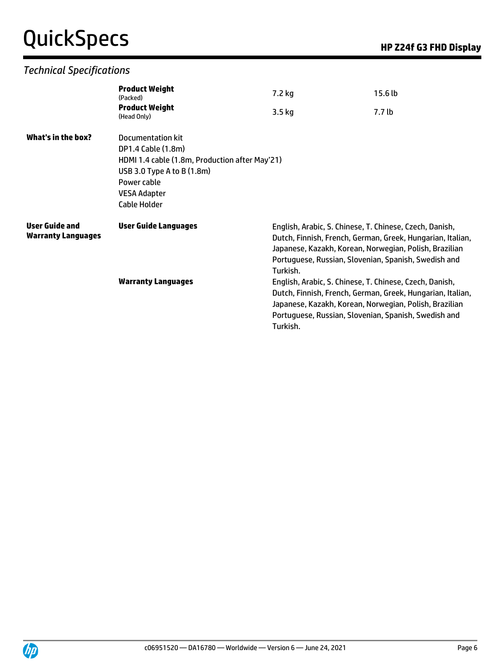# QuickSpecs **Manufactures** *HP* Z24f G3 FHD Display

## *Technical Specifications*

| <b>Product Weight</b><br>(Packed)                                                                                           | 7.2 kg   | 15.6 <sub>lb</sub>                                         |                                                                                                                                                                                                                                                                                                                                                                                                                                                                                    |
|-----------------------------------------------------------------------------------------------------------------------------|----------|------------------------------------------------------------|------------------------------------------------------------------------------------------------------------------------------------------------------------------------------------------------------------------------------------------------------------------------------------------------------------------------------------------------------------------------------------------------------------------------------------------------------------------------------------|
| <b>Product Weight</b><br>(Head Only)                                                                                        | $3.5$ kg | 7.7 lb                                                     |                                                                                                                                                                                                                                                                                                                                                                                                                                                                                    |
| Documentation kit<br>DP1.4 Cable (1.8m)<br>USB 3.0 Type A to B (1.8m)<br>Power cable<br><b>VESA Adapter</b><br>Cable Holder |          |                                                            |                                                                                                                                                                                                                                                                                                                                                                                                                                                                                    |
| <b>User Guide Languages</b><br><b>Warranty Languages</b>                                                                    | Turkish. |                                                            |                                                                                                                                                                                                                                                                                                                                                                                                                                                                                    |
|                                                                                                                             |          | HDMI 1.4 cable (1.8m, Production after May'21)<br>Turkish. | English, Arabic, S. Chinese, T. Chinese, Czech, Danish,<br>Dutch, Finnish, French, German, Greek, Hungarian, Italian,<br>Japanese, Kazakh, Korean, Norwegian, Polish, Brazilian<br>Portuguese, Russian, Slovenian, Spanish, Swedish and<br>English, Arabic, S. Chinese, T. Chinese, Czech, Danish,<br>Dutch, Finnish, French, German, Greek, Hungarian, Italian,<br>Japanese, Kazakh, Korean, Norwegian, Polish, Brazilian<br>Portuguese, Russian, Slovenian, Spanish, Swedish and |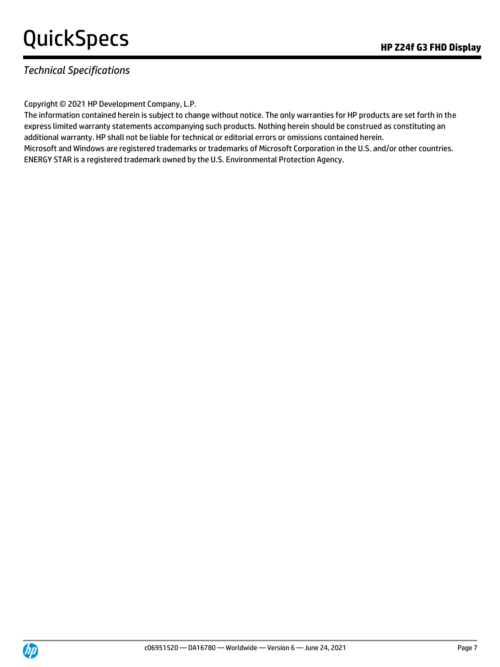### *Technical Specifications*

Copyright © 2021 HP Development Company, L.P.

The information contained herein is subject to change without notice. The only warranties for HP products are set forth in the express limited warranty statements accompanying such products. Nothing herein should be construed as constituting an additional warranty. HP shall not be liable for technical or editorial errors or omissions contained herein. Microsoft and Windows are registered trademarks or trademarks of Microsoft Corporation in the U.S. and/or other countries. ENERGY STAR is a registered trademark owned by the U.S. Environmental Protection Agency.